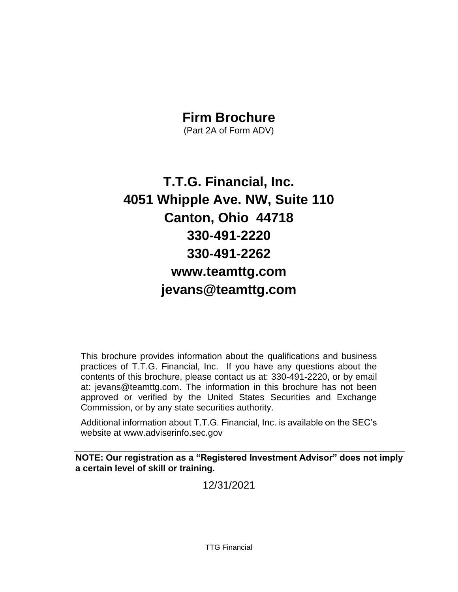# **Firm Brochure**

(Part 2A of Form ADV)

# **T.T.G. Financial, Inc. 4051 Whipple Ave. NW, Suite 110 Canton, Ohio 44718 330-491-2220 330-491-2262 www.teamttg.com jevans@teamttg.com**

This brochure provides information about the qualifications and business practices of T.T.G. Financial, Inc. If you have any questions about the contents of this brochure, please contact us at: 330-491-2220, or by email at: jevans@teamttg.com. The information in this brochure has not been approved or verified by the United States Securities and Exchange Commission, or by any state securities authority.

Additional information about T.T.G. Financial, Inc. is available on the SEC's website at www.adviserinfo.sec.gov

<span id="page-0-0"></span>**NOTE: Our registration as a "Registered Investment Advisor" does not imply a certain level of skill or training.**

12/31/2021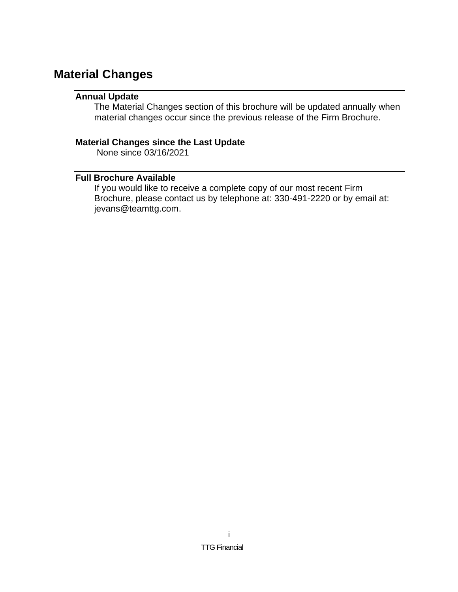# <span id="page-1-1"></span><span id="page-1-0"></span>**Material Changes**

# **Annual Update**

The Material Changes section of this brochure will be updated annually when material changes occur since the previous release of the Firm Brochure.

# <span id="page-1-2"></span>**Material Changes since the Last Update**

None since 03/16/2021

# <span id="page-1-3"></span>**Full Brochure Available**

If you would like to receive a complete copy of our most recent Firm Brochure, please contact us by telephone at: 330-491-2220 or by email at: jevans@teamttg.com.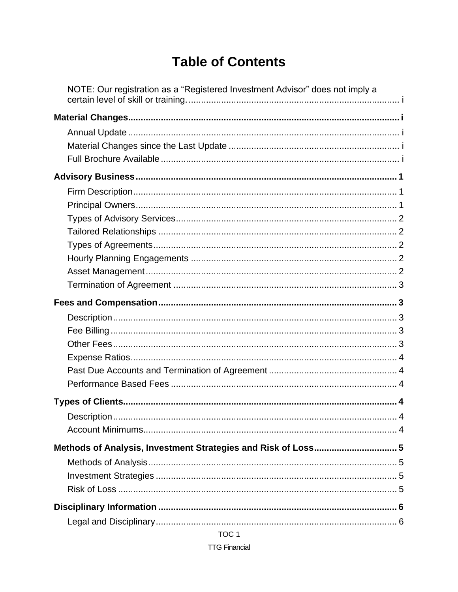# **Table of Contents**

| NOTE: Our registration as a "Registered Investment Advisor" does not imply a |   |
|------------------------------------------------------------------------------|---|
|                                                                              |   |
|                                                                              |   |
|                                                                              |   |
|                                                                              |   |
|                                                                              |   |
|                                                                              |   |
|                                                                              |   |
| Description.                                                                 | 4 |
| Methods of Analysis, Investment Strategies and Risk of Loss 5                |   |
|                                                                              |   |
|                                                                              |   |
|                                                                              |   |

TOC<sub>1</sub>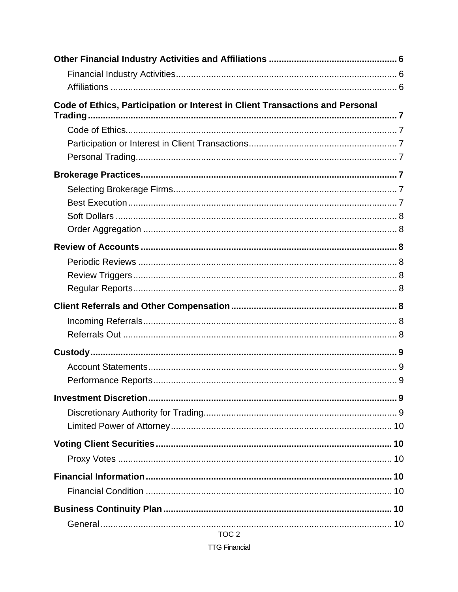| Code of Ethics, Participation or Interest in Client Transactions and Personal |  |
|-------------------------------------------------------------------------------|--|
|                                                                               |  |
|                                                                               |  |
|                                                                               |  |
|                                                                               |  |
|                                                                               |  |
|                                                                               |  |
|                                                                               |  |
|                                                                               |  |
|                                                                               |  |
|                                                                               |  |
|                                                                               |  |
|                                                                               |  |
|                                                                               |  |
|                                                                               |  |
|                                                                               |  |
|                                                                               |  |
|                                                                               |  |
|                                                                               |  |
|                                                                               |  |
|                                                                               |  |
|                                                                               |  |
|                                                                               |  |
|                                                                               |  |
|                                                                               |  |
|                                                                               |  |
|                                                                               |  |
|                                                                               |  |
|                                                                               |  |
|                                                                               |  |

TOC<sub>2</sub>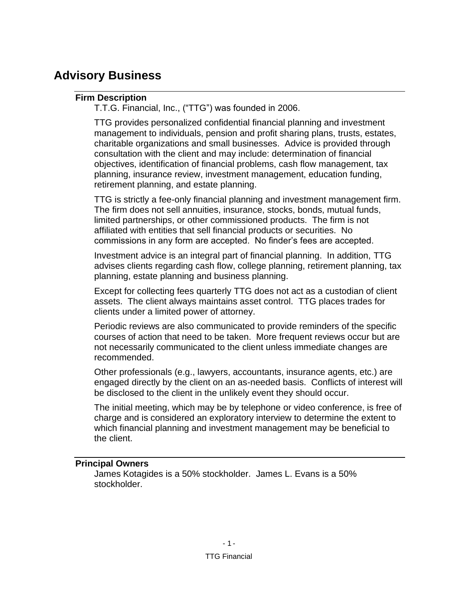# <span id="page-5-1"></span><span id="page-5-0"></span>**Advisory Business**

# **Firm Description**

T.T.G. Financial, Inc., ("TTG") was founded in 2006.

TTG provides personalized confidential financial planning and investment management to individuals, pension and profit sharing plans, trusts, estates, charitable organizations and small businesses. Advice is provided through consultation with the client and may include: determination of financial objectives, identification of financial problems, cash flow management, tax planning, insurance review, investment management, education funding, retirement planning, and estate planning.

TTG is strictly a fee-only financial planning and investment management firm. The firm does not sell annuities, insurance, stocks, bonds, mutual funds, limited partnerships, or other commissioned products. The firm is not affiliated with entities that sell financial products or securities. No commissions in any form are accepted. No finder's fees are accepted.

Investment advice is an integral part of financial planning. In addition, TTG advises clients regarding cash flow, college planning, retirement planning, tax planning, estate planning and business planning.

Except for collecting fees quarterly TTG does not act as a custodian of client assets. The client always maintains asset control. TTG places trades for clients under a limited power of attorney.

Periodic reviews are also communicated to provide reminders of the specific courses of action that need to be taken. More frequent reviews occur but are not necessarily communicated to the client unless immediate changes are recommended.

Other professionals (e.g., lawyers, accountants, insurance agents, etc.) are engaged directly by the client on an as-needed basis. Conflicts of interest will be disclosed to the client in the unlikely event they should occur.

The initial meeting, which may be by telephone or video conference, is free of charge and is considered an exploratory interview to determine the extent to which financial planning and investment management may be beneficial to the client.

### <span id="page-5-2"></span>**Principal Owners**

James Kotagides is a 50% stockholder. James L. Evans is a 50% stockholder.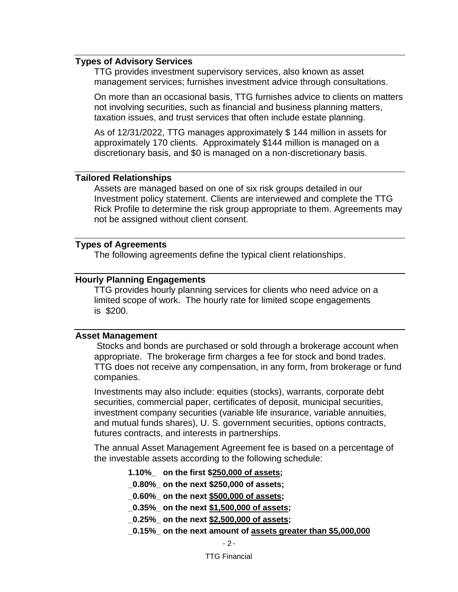### <span id="page-6-0"></span>**Types of Advisory Services**

TTG provides investment supervisory services, also known as asset management services; furnishes investment advice through consultations.

On more than an occasional basis, TTG furnishes advice to clients on matters not involving securities, such as financial and business planning matters, taxation issues, and trust services that often include estate planning.

As of 12/31/2022, TTG manages approximately \$ 144 million in assets for approximately 170 clients. Approximately \$144 million is managed on a discretionary basis, and \$0 is managed on a non-discretionary basis.

#### <span id="page-6-1"></span>**Tailored Relationships**

Assets are managed based on one of six risk groups detailed in our Investment policy statement. Clients are interviewed and complete the TTG Rick Profile to determine the risk group appropriate to them. Agreements may not be assigned without client consent.

#### <span id="page-6-2"></span>**Types of Agreements**

The following agreements define the typical client relationships.

#### <span id="page-6-3"></span>**Hourly Planning Engagements**

TTG provides hourly planning services for clients who need advice on a limited scope of work. The hourly rate for limited scope engagements is \$200.

#### <span id="page-6-4"></span>**Asset Management**

Stocks and bonds are purchased or sold through a brokerage account when appropriate. The brokerage firm charges a fee for stock and bond trades. TTG does not receive any compensation, in any form, from brokerage or fund companies.

Investments may also include: equities (stocks), warrants, corporate debt securities, commercial paper, certificates of deposit, municipal securities, investment company securities (variable life insurance, variable annuities, and mutual funds shares), U. S. government securities, options contracts, futures contracts, and interests in partnerships.

The annual Asset Management Agreement fee is based on a percentage of the investable assets according to the following schedule:

**1.10%\_ on the first \$250,000 of assets;**

**\_0.80%\_ on the next \$250,000 of assets;**

**\_0.60%\_ on the next \$500,000 of assets;**

**\_0.35%\_ on the next \$1,500,000 of assets;**

**\_0.25%\_ on the next \$2,500,000 of assets;**

**\_0.15%\_ on the next amount of assets greater than \$5,000,000**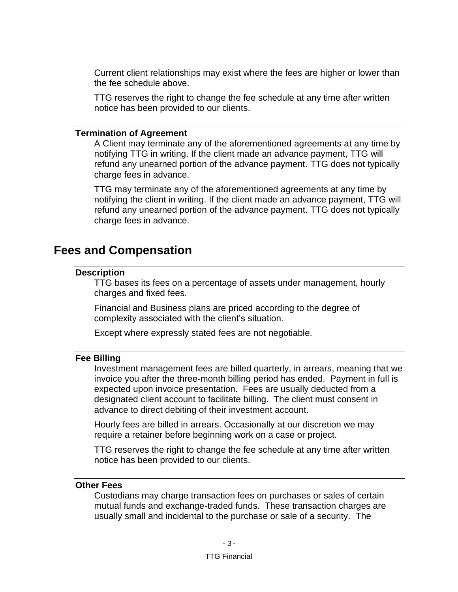Current client relationships may exist where the fees are higher or lower than the fee schedule above.

TTG reserves the right to change the fee schedule at any time after written notice has been provided to our clients.

#### <span id="page-7-0"></span>**Termination of Agreement**

A Client may terminate any of the aforementioned agreements at any time by notifying TTG in writing. If the client made an advance payment, TTG will refund any unearned portion of the advance payment. TTG does not typically charge fees in advance.

TTG may terminate any of the aforementioned agreements at any time by notifying the client in writing. If the client made an advance payment, TTG will refund any unearned portion of the advance payment. TTG does not typically charge fees in advance.

# <span id="page-7-2"></span><span id="page-7-1"></span>**Fees and Compensation**

#### **Description**

TTG bases its fees on a percentage of assets under management, hourly charges and fixed fees.

Financial and Business plans are priced according to the degree of complexity associated with the client's situation.

Except where expressly stated fees are not negotiable.

#### <span id="page-7-3"></span>**Fee Billing**

Investment management fees are billed quarterly, in arrears, meaning that we invoice you after the three-month billing period has ended. Payment in full is expected upon invoice presentation. Fees are usually deducted from a designated client account to facilitate billing. The client must consent in advance to direct debiting of their investment account.

Hourly fees are billed in arrears. Occasionally at our discretion we may require a retainer before beginning work on a case or project.

TTG reserves the right to change the fee schedule at any time after written notice has been provided to our clients.

### <span id="page-7-4"></span>**Other Fees**

Custodians may charge transaction fees on purchases or sales of certain mutual funds and exchange-traded funds. These transaction charges are usually small and incidental to the purchase or sale of a security. The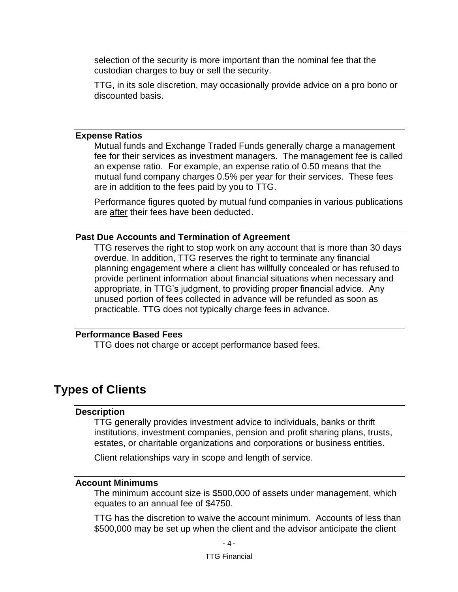selection of the security is more important than the nominal fee that the custodian charges to buy or sell the security.

TTG, in its sole discretion, may occasionally provide advice on a pro bono or discounted basis.

#### <span id="page-8-0"></span>**Expense Ratios**

Mutual funds and Exchange Traded Funds generally charge a management fee for their services as investment managers. The management fee is called an expense ratio. For example, an expense ratio of 0.50 means that the mutual fund company charges 0.5% per year for their services. These fees are in addition to the fees paid by you to TTG.

Performance figures quoted by mutual fund companies in various publications are after their fees have been deducted.

#### <span id="page-8-1"></span>**Past Due Accounts and Termination of Agreement**

TTG reserves the right to stop work on any account that is more than 30 days overdue. In addition, TTG reserves the right to terminate any financial planning engagement where a client has willfully concealed or has refused to provide pertinent information about financial situations when necessary and appropriate, in TTG's judgment, to providing proper financial advice. Any unused portion of fees collected in advance will be refunded as soon as practicable. TTG does not typically charge fees in advance.

#### <span id="page-8-2"></span>**Performance Based Fees**

TTG does not charge or accept performance based fees.

# <span id="page-8-4"></span><span id="page-8-3"></span>**Types of Clients**

#### **Description**

TTG generally provides investment advice to individuals, banks or thrift institutions, investment companies, pension and profit sharing plans, trusts, estates, or charitable organizations and corporations or business entities.

Client relationships vary in scope and length of service.

#### <span id="page-8-5"></span>**Account Minimums**

The minimum account size is \$500,000 of assets under management, which equates to an annual fee of \$4750.

TTG has the discretion to waive the account minimum. Accounts of less than \$500,000 may be set up when the client and the advisor anticipate the client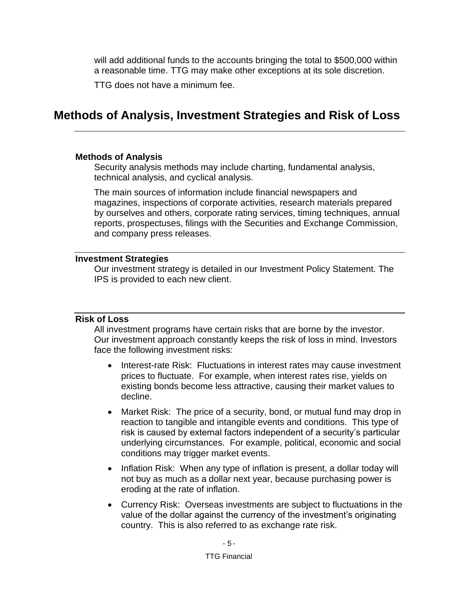will add additional funds to the accounts bringing the total to \$500,000 within a reasonable time. TTG may make other exceptions at its sole discretion.

TTG does not have a minimum fee.

# <span id="page-9-0"></span>**Methods of Analysis, Investment Strategies and Risk of Loss**

#### <span id="page-9-1"></span>**Methods of Analysis**

Security analysis methods may include charting, fundamental analysis, technical analysis, and cyclical analysis.

The main sources of information include financial newspapers and magazines, inspections of corporate activities, research materials prepared by ourselves and others, corporate rating services, timing techniques, annual reports, prospectuses, filings with the Securities and Exchange Commission, and company press releases.

### <span id="page-9-2"></span>**Investment Strategies**

Our investment strategy is detailed in our Investment Policy Statement. The IPS is provided to each new client.

### <span id="page-9-3"></span>**Risk of Loss**

All investment programs have certain risks that are borne by the investor. Our investment approach constantly keeps the risk of loss in mind. Investors face the following investment risks:

- Interest-rate Risk: Fluctuations in interest rates may cause investment prices to fluctuate. For example, when interest rates rise, yields on existing bonds become less attractive, causing their market values to decline.
- Market Risk: The price of a security, bond, or mutual fund may drop in reaction to tangible and intangible events and conditions. This type of risk is caused by external factors independent of a security's particular underlying circumstances. For example, political, economic and social conditions may trigger market events.
- Inflation Risk: When any type of inflation is present, a dollar today will not buy as much as a dollar next year, because purchasing power is eroding at the rate of inflation.
- Currency Risk: Overseas investments are subject to fluctuations in the value of the dollar against the currency of the investment's originating country. This is also referred to as exchange rate risk.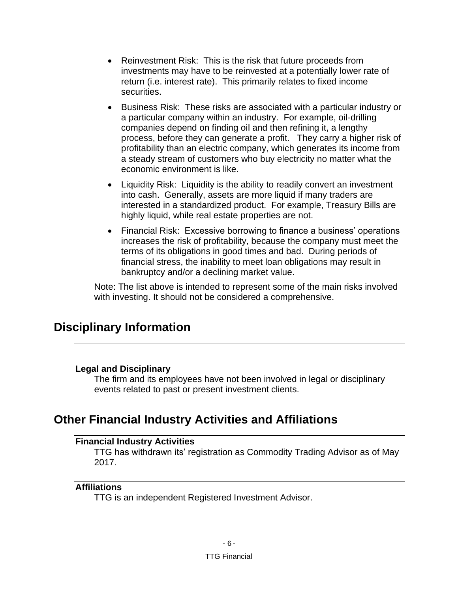- Reinvestment Risk: This is the risk that future proceeds from investments may have to be reinvested at a potentially lower rate of return (i.e. interest rate). This primarily relates to fixed income securities.
- Business Risk: These risks are associated with a particular industry or a particular company within an industry. For example, oil-drilling companies depend on finding oil and then refining it, a lengthy process, before they can generate a profit. They carry a higher risk of profitability than an electric company, which generates its income from a steady stream of customers who buy electricity no matter what the economic environment is like.
- Liquidity Risk: Liquidity is the ability to readily convert an investment into cash. Generally, assets are more liquid if many traders are interested in a standardized product. For example, Treasury Bills are highly liquid, while real estate properties are not.
- Financial Risk: Excessive borrowing to finance a business' operations increases the risk of profitability, because the company must meet the terms of its obligations in good times and bad. During periods of financial stress, the inability to meet loan obligations may result in bankruptcy and/or a declining market value.

Note: The list above is intended to represent some of the main risks involved with investing. It should not be considered a comprehensive.

# <span id="page-10-0"></span>**Disciplinary Information**

### <span id="page-10-1"></span>**Legal and Disciplinary**

The firm and its employees have not been involved in legal or disciplinary events related to past or present investment clients.

# <span id="page-10-3"></span><span id="page-10-2"></span>**Other Financial Industry Activities and Affiliations**

### **Financial Industry Activities**

TTG has withdrawn its' registration as Commodity Trading Advisor as of May 2017.

### <span id="page-10-4"></span>**Affiliations**

TTG is an independent Registered Investment Advisor.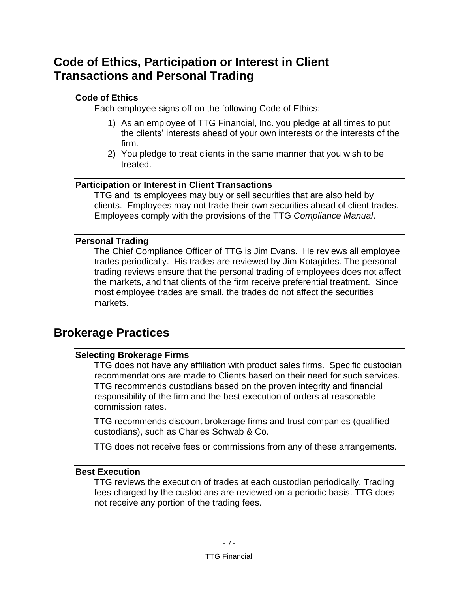# <span id="page-11-0"></span>**Code of Ethics, Participation or Interest in Client Transactions and Personal Trading**

# <span id="page-11-1"></span>**Code of Ethics**

Each employee signs off on the following Code of Ethics:

- 1) As an employee of TTG Financial, Inc. you pledge at all times to put the clients' interests ahead of your own interests or the interests of the firm.
- 2) You pledge to treat clients in the same manner that you wish to be treated.

# <span id="page-11-2"></span>**Participation or Interest in Client Transactions**

TTG and its employees may buy or sell securities that are also held by clients. Employees may not trade their own securities ahead of client trades. Employees comply with the provisions of the TTG *Compliance Manual*.

### <span id="page-11-3"></span>**Personal Trading**

The Chief Compliance Officer of TTG is Jim Evans. He reviews all employee trades periodically. His trades are reviewed by Jim Kotagides. The personal trading reviews ensure that the personal trading of employees does not affect the markets, and that clients of the firm receive preferential treatment. Since most employee trades are small, the trades do not affect the securities markets.

# <span id="page-11-5"></span><span id="page-11-4"></span>**Brokerage Practices**

# **Selecting Brokerage Firms**

TTG does not have any affiliation with product sales firms. Specific custodian recommendations are made to Clients based on their need for such services. TTG recommends custodians based on the proven integrity and financial responsibility of the firm and the best execution of orders at reasonable commission rates.

TTG recommends discount brokerage firms and trust companies (qualified custodians), such as Charles Schwab & Co.

TTG does not receive fees or commissions from any of these arrangements.

### <span id="page-11-6"></span>**Best Execution**

TTG reviews the execution of trades at each custodian periodically. Trading fees charged by the custodians are reviewed on a periodic basis. TTG does not receive any portion of the trading fees.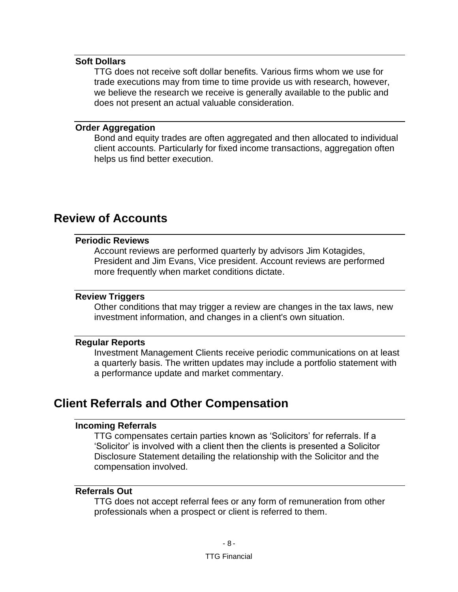#### <span id="page-12-0"></span>**Soft Dollars**

TTG does not receive soft dollar benefits. Various firms whom we use for trade executions may from time to time provide us with research, however, we believe the research we receive is generally available to the public and does not present an actual valuable consideration.

#### <span id="page-12-1"></span>**Order Aggregation**

Bond and equity trades are often aggregated and then allocated to individual client accounts. Particularly for fixed income transactions, aggregation often helps us find better execution.

# <span id="page-12-3"></span><span id="page-12-2"></span>**Review of Accounts**

### **Periodic Reviews**

Account reviews are performed quarterly by advisors Jim Kotagides, President and Jim Evans, Vice president. Account reviews are performed more frequently when market conditions dictate.

#### <span id="page-12-4"></span>**Review Triggers**

Other conditions that may trigger a review are changes in the tax laws, new investment information, and changes in a client's own situation.

#### <span id="page-12-5"></span>**Regular Reports**

Investment Management Clients receive periodic communications on at least a quarterly basis. The written updates may include a portfolio statement with a performance update and market commentary.

# <span id="page-12-7"></span><span id="page-12-6"></span>**Client Referrals and Other Compensation**

#### **Incoming Referrals**

TTG compensates certain parties known as 'Solicitors' for referrals. If a 'Solicitor' is involved with a client then the clients is presented a Solicitor Disclosure Statement detailing the relationship with the Solicitor and the compensation involved.

#### <span id="page-12-8"></span>**Referrals Out**

TTG does not accept referral fees or any form of remuneration from other professionals when a prospect or client is referred to them.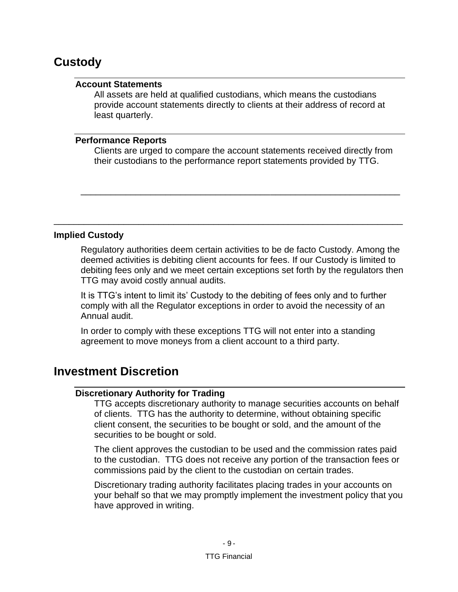# <span id="page-13-1"></span><span id="page-13-0"></span>**Custody**

### **Account Statements**

All assets are held at qualified custodians, which means the custodians provide account statements directly to clients at their address of record at least quarterly.

#### <span id="page-13-2"></span>**Performance Reports**

Clients are urged to compare the account statements received directly from their custodians to the performance report statements provided by TTG.

\_\_\_\_\_\_\_\_\_\_\_\_\_\_\_\_\_\_\_\_\_\_\_\_\_\_\_\_\_\_\_\_\_\_\_\_\_\_\_\_\_\_\_\_\_\_\_\_\_\_\_\_\_\_\_\_\_\_\_\_\_\_\_\_

\_\_\_\_\_\_\_\_\_\_\_\_\_\_\_\_\_\_\_\_\_\_\_\_\_\_\_\_\_\_\_\_\_\_\_\_\_\_\_\_\_\_\_\_\_\_\_\_\_\_\_\_\_\_\_\_\_\_\_\_\_\_\_\_\_\_\_\_\_\_

### **Implied Custody**

Regulatory authorities deem certain activities to be de facto Custody. Among the deemed activities is debiting client accounts for fees. If our Custody is limited to debiting fees only and we meet certain exceptions set forth by the regulators then TTG may avoid costly annual audits.

It is TTG's intent to limit its' Custody to the debiting of fees only and to further comply with all the Regulator exceptions in order to avoid the necessity of an Annual audit.

In order to comply with these exceptions TTG will not enter into a standing agreement to move moneys from a client account to a third party.

# <span id="page-13-4"></span><span id="page-13-3"></span>**Investment Discretion**

### **Discretionary Authority for Trading**

TTG accepts discretionary authority to manage securities accounts on behalf of clients. TTG has the authority to determine, without obtaining specific client consent, the securities to be bought or sold, and the amount of the securities to be bought or sold.

The client approves the custodian to be used and the commission rates paid to the custodian. TTG does not receive any portion of the transaction fees or commissions paid by the client to the custodian on certain trades.

Discretionary trading authority facilitates placing trades in your accounts on your behalf so that we may promptly implement the investment policy that you have approved in writing.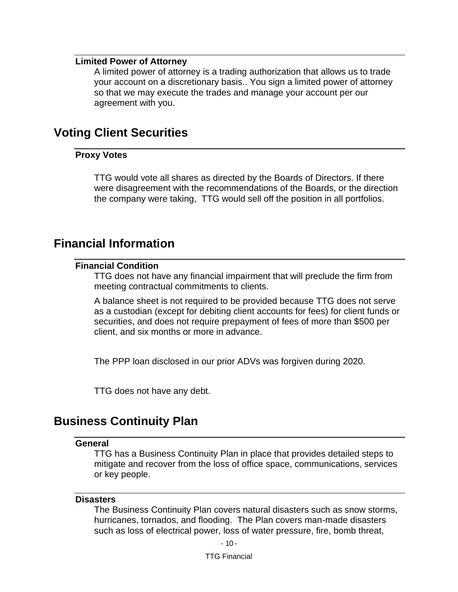#### <span id="page-14-0"></span>**Limited Power of Attorney**

A limited power of attorney is a trading authorization that allows us to trade your account on a discretionary basis.. You sign a limited power of attorney so that we may execute the trades and manage your account per our agreement with you.

# <span id="page-14-2"></span><span id="page-14-1"></span>**Voting Client Securities**

#### **Proxy Votes**

TTG would vote all shares as directed by the Boards of Directors. If there were disagreement with the recommendations of the Boards, or the direction the company were taking, TTG would sell off the position in all portfolios.

# <span id="page-14-4"></span><span id="page-14-3"></span>**Financial Information**

### **Financial Condition**

TTG does not have any financial impairment that will preclude the firm from meeting contractual commitments to clients.

A balance sheet is not required to be provided because TTG does not serve as a custodian (except for debiting client accounts for fees) for client funds or securities, and does not require prepayment of fees of more than \$500 per client, and six months or more in advance.

The PPP loan disclosed in our prior ADVs was forgiven during 2020.

TTG does not have any debt.

# <span id="page-14-6"></span><span id="page-14-5"></span>**Business Continuity Plan**

#### **General**

TTG has a Business Continuity Plan in place that provides detailed steps to mitigate and recover from the loss of office space, communications, services or key people.

#### <span id="page-14-7"></span>**Disasters**

The Business Continuity Plan covers natural disasters such as snow storms, hurricanes, tornados, and flooding. The Plan covers man-made disasters such as loss of electrical power, loss of water pressure, fire, bomb threat,

TTG Financial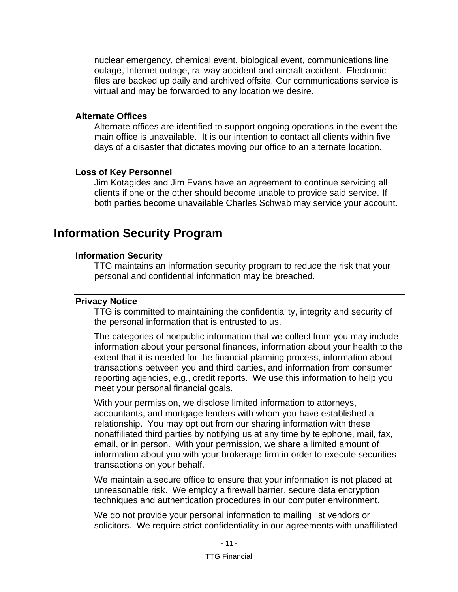nuclear emergency, chemical event, biological event, communications line outage, Internet outage, railway accident and aircraft accident. Electronic files are backed up daily and archived offsite. Our communications service is virtual and may be forwarded to any location we desire.

### <span id="page-15-0"></span>**Alternate Offices**

Alternate offices are identified to support ongoing operations in the event the main office is unavailable. It is our intention to contact all clients within five days of a disaster that dictates moving our office to an alternate location.

#### <span id="page-15-1"></span>**Loss of Key Personnel**

Jim Kotagides and Jim Evans have an agreement to continue servicing all clients if one or the other should become unable to provide said service. If both parties become unavailable Charles Schwab may service your account.

# <span id="page-15-3"></span><span id="page-15-2"></span>**Information Security Program**

### **Information Security**

TTG maintains an information security program to reduce the risk that your personal and confidential information may be breached.

#### <span id="page-15-4"></span>**Privacy Notice**

TTG is committed to maintaining the confidentiality, integrity and security of the personal information that is entrusted to us.

The categories of nonpublic information that we collect from you may include information about your personal finances, information about your health to the extent that it is needed for the financial planning process, information about transactions between you and third parties, and information from consumer reporting agencies, e.g., credit reports. We use this information to help you meet your personal financial goals.

With your permission, we disclose limited information to attorneys, accountants, and mortgage lenders with whom you have established a relationship. You may opt out from our sharing information with these nonaffiliated third parties by notifying us at any time by telephone, mail, fax, email, or in person. With your permission, we share a limited amount of information about you with your brokerage firm in order to execute securities transactions on your behalf.

We maintain a secure office to ensure that your information is not placed at unreasonable risk. We employ a firewall barrier, secure data encryption techniques and authentication procedures in our computer environment.

We do not provide your personal information to mailing list vendors or solicitors. We require strict confidentiality in our agreements with unaffiliated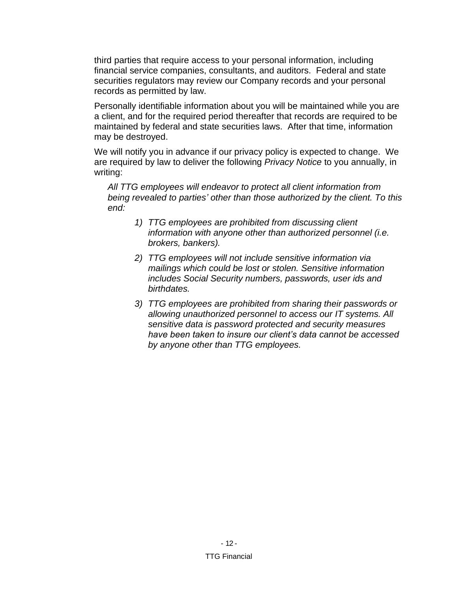third parties that require access to your personal information, including financial service companies, consultants, and auditors. Federal and state securities regulators may review our Company records and your personal records as permitted by law.

Personally identifiable information about you will be maintained while you are a client, and for the required period thereafter that records are required to be maintained by federal and state securities laws. After that time, information may be destroyed.

We will notify you in advance if our privacy policy is expected to change. We are required by law to deliver the following *Privacy Notice* to you annually, in writing:

*All TTG employees will endeavor to protect all client information from being revealed to parties' other than those authorized by the client. To this end:*

- *1) TTG employees are prohibited from discussing client information with anyone other than authorized personnel (i.e. brokers, bankers).*
- *2) TTG employees will not include sensitive information via mailings which could be lost or stolen. Sensitive information includes Social Security numbers, passwords, user ids and birthdates.*
- *3) TTG employees are prohibited from sharing their passwords or allowing unauthorized personnel to access our IT systems. All sensitive data is password protected and security measures have been taken to insure our client's data cannot be accessed by anyone other than TTG employees.*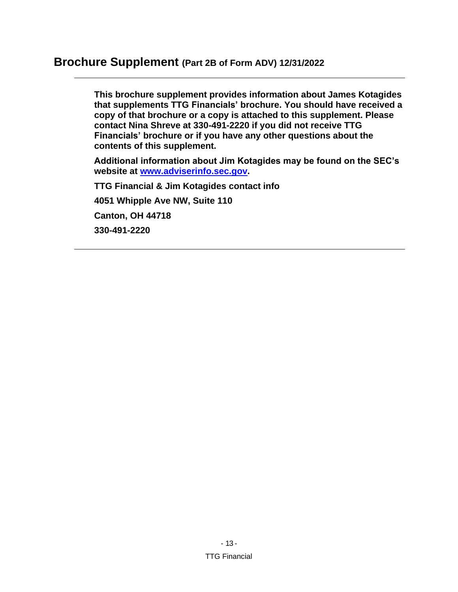# <span id="page-17-0"></span>**Brochure Supplement (Part 2B of Form ADV) 12/31/2022**

**This brochure supplement provides information about James Kotagides that supplements TTG Financials' brochure. You should have received a copy of that brochure or a copy is attached to this supplement. Please contact Nina Shreve at 330-491-2220 if you did not receive TTG Financials' brochure or if you have any other questions about the contents of this supplement.**

**Additional information about Jim Kotagides may be found on the SEC's website at [www.adviserinfo.sec.gov.](http://www.adviserinfo.sec.gov/)**

**TTG Financial & Jim Kotagides contact info 4051 Whipple Ave NW, Suite 110 Canton, OH 44718 330-491-2220**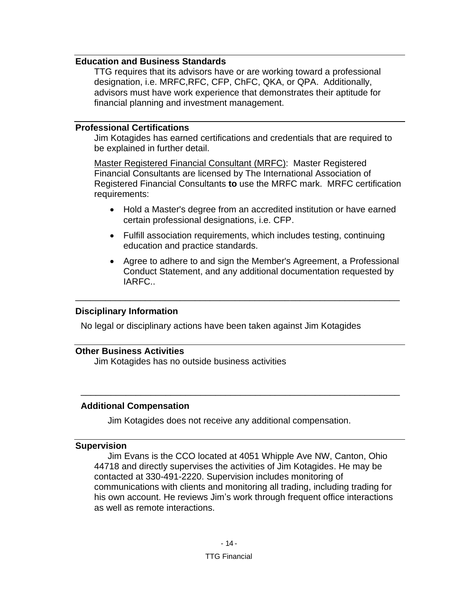### <span id="page-18-0"></span>**Education and Business Standards**

TTG requires that its advisors have or are working toward a professional designation, i.e. MRFC,RFC, CFP, ChFC, QKA, or QPA. Additionally, advisors must have work experience that demonstrates their aptitude for financial planning and investment management.

#### <span id="page-18-1"></span>**Professional Certifications**

Jim Kotagides has earned certifications and credentials that are required to be explained in further detail.

Master Registered Financial Consultant (MRFC): Master Registered Financial Consultants are licensed by The International Association of Registered Financial Consultants **to** use the MRFC mark. MRFC certification requirements:

- Hold a Master's degree from an accredited institution or have earned certain professional designations, i.e. CFP.
- Fulfill association requirements, which includes testing, continuing education and practice standards.
- Agree to adhere to and sign the Member's Agreement, a [Professional](http://www.cfainstitute.org/ethics/conduct/Pages/about_pcs.aspx)  [Conduct Statement,](http://www.cfainstitute.org/ethics/conduct/Pages/about_pcs.aspx) and any additional documentation requested by IARFC..

### **Disciplinary Information**

No legal or disciplinary actions have been taken against Jim Kotagides

\_\_\_\_\_\_\_\_\_\_\_\_\_\_\_\_\_\_\_\_\_\_\_\_\_\_\_\_\_\_\_\_\_\_\_\_\_\_\_\_\_\_\_\_\_\_\_\_\_\_\_\_\_\_\_\_\_\_\_\_\_\_\_\_\_

### <span id="page-18-2"></span>**Other Business Activities**

Jim Kotagides has no outside business activities

#### **Additional Compensation**

Jim Kotagides does not receive any additional compensation.

\_\_\_\_\_\_\_\_\_\_\_\_\_\_\_\_\_\_\_\_\_\_\_\_\_\_\_\_\_\_\_\_\_\_\_\_\_\_\_\_\_\_\_\_\_\_\_\_\_\_\_\_\_\_\_\_\_\_\_\_\_\_\_\_

#### <span id="page-18-3"></span>**Supervision**

Jim Evans is the CCO located at 4051 Whipple Ave NW, Canton, Ohio 44718 and directly supervises the activities of Jim Kotagides. He may be contacted at 330-491-2220. Supervision includes monitoring of communications with clients and monitoring all trading, including trading for his own account. He reviews Jim's work through frequent office interactions as well as remote interactions.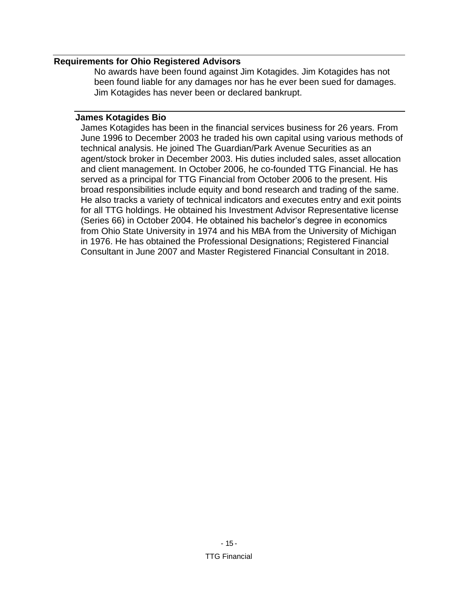### <span id="page-19-0"></span>**Requirements for Ohio Registered Advisors**

No awards have been found against Jim Kotagides. Jim Kotagides has not been found liable for any damages nor has he ever been sued for damages. Jim Kotagides has never been or declared bankrupt.

#### <span id="page-19-1"></span>**James Kotagides Bio**

James Kotagides has been in the financial services business for 26 years. From June 1996 to December 2003 he traded his own capital using various methods of technical analysis. He joined The Guardian/Park Avenue Securities as an agent/stock broker in December 2003. His duties included sales, asset allocation and client management. In October 2006, he co-founded TTG Financial. He has served as a principal for TTG Financial from October 2006 to the present. His broad responsibilities include equity and bond research and trading of the same. He also tracks a variety of technical indicators and executes entry and exit points for all TTG holdings. He obtained his Investment Advisor Representative license (Series 66) in October 2004. He obtained his bachelor's degree in economics from Ohio State University in 1974 and his MBA from the University of Michigan in 1976. He has obtained the Professional Designations; Registered Financial Consultant in June 2007 and Master Registered Financial Consultant in 2018.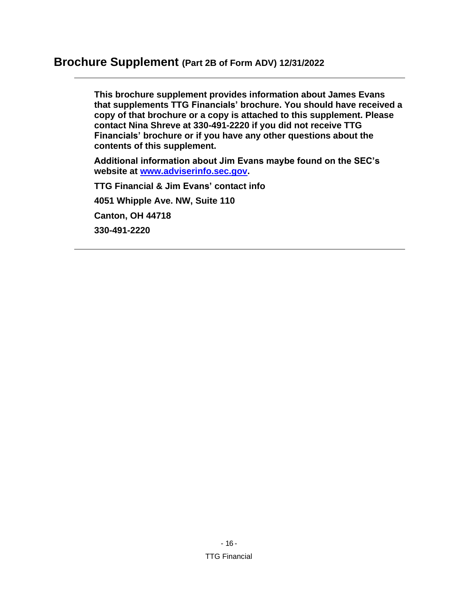# <span id="page-20-0"></span>**Brochure Supplement (Part 2B of Form ADV) 12/31/2022**

**This brochure supplement provides information about James Evans that supplements TTG Financials' brochure. You should have received a copy of that brochure or a copy is attached to this supplement. Please contact Nina Shreve at 330-491-2220 if you did not receive TTG Financials' brochure or if you have any other questions about the contents of this supplement.**

**Additional information about Jim Evans maybe found on the SEC's website at [www.adviserinfo.sec.gov.](http://www.adviserinfo.sec.gov/)**

**TTG Financial & Jim Evans' contact info 4051 Whipple Ave. NW, Suite 110 Canton, OH 44718 330-491-2220**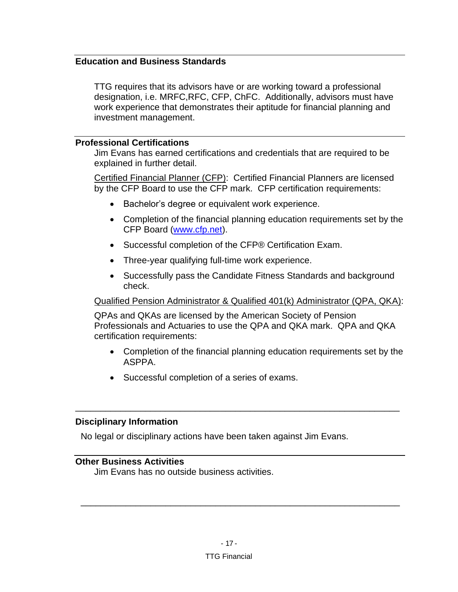# <span id="page-21-0"></span>**Education and Business Standards**

TTG requires that its advisors have or are working toward a professional designation, i.e. MRFC,RFC, CFP, ChFC. Additionally, advisors must have work experience that demonstrates their aptitude for financial planning and investment management.

#### <span id="page-21-1"></span>**Professional Certifications**

Jim Evans has earned certifications and credentials that are required to be explained in further detail.

Certified Financial Planner (CFP): Certified Financial Planners are licensed by the CFP Board to use the CFP mark. CFP certification requirements:

- Bachelor's degree or equivalent work experience.
- Completion of the financial planning education requirements set by the CFP Board [\(www.cfp.net\)](http://www.cfp.net/).
- Successful completion of the CFP® Certification Exam.
- Three-year qualifying full-time work experience.
- Successfully pass the Candidate Fitness Standards and background check.

#### Qualified Pension Administrator & Qualified 401(k) Administrator (QPA, QKA):

QPAs and QKAs are licensed by the American Society of Pension Professionals and Actuaries to use the QPA and QKA mark. QPA and QKA certification requirements:

\_\_\_\_\_\_\_\_\_\_\_\_\_\_\_\_\_\_\_\_\_\_\_\_\_\_\_\_\_\_\_\_\_\_\_\_\_\_\_\_\_\_\_\_\_\_\_\_\_\_\_\_\_\_\_\_\_\_\_\_\_\_\_\_\_

- Completion of the financial planning education requirements set by the ASPPA.
- Successful completion of a series of exams.

#### **Disciplinary Information**

No legal or disciplinary actions have been taken against Jim Evans.

### <span id="page-21-2"></span>**Other Business Activities**

Jim Evans has no outside business activities.

\_\_\_\_\_\_\_\_\_\_\_\_\_\_\_\_\_\_\_\_\_\_\_\_\_\_\_\_\_\_\_\_\_\_\_\_\_\_\_\_\_\_\_\_\_\_\_\_\_\_\_\_\_\_\_\_\_\_\_\_\_\_\_\_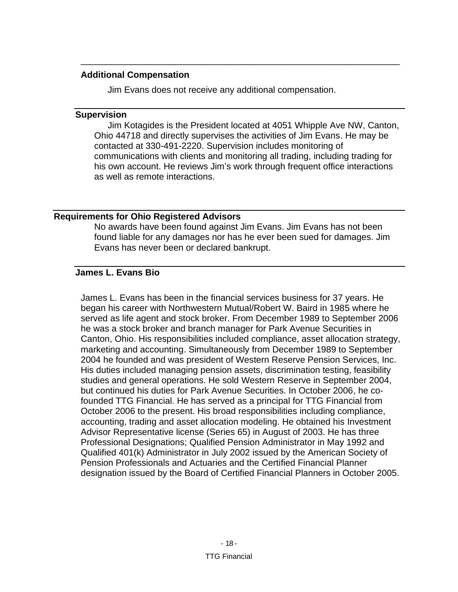#### **Additional Compensation**

Jim Evans does not receive any additional compensation.

\_\_\_\_\_\_\_\_\_\_\_\_\_\_\_\_\_\_\_\_\_\_\_\_\_\_\_\_\_\_\_\_\_\_\_\_\_\_\_\_\_\_\_\_\_\_\_\_\_\_\_\_\_\_\_\_\_\_\_\_\_\_\_\_

#### <span id="page-22-0"></span>**Supervision**

Jim Kotagides is the President located at 4051 Whipple Ave NW, Canton, Ohio 44718 and directly supervises the activities of Jim Evans. He may be contacted at 330-491-2220. Supervision includes monitoring of communications with clients and monitoring all trading, including trading for his own account. He reviews Jim's work through frequent office interactions as well as remote interactions.

# <span id="page-22-1"></span>**Requirements for Ohio Registered Advisors**

No awards have been found against Jim Evans. Jim Evans has not been found liable for any damages nor has he ever been sued for damages. Jim Evans has never been or declared bankrupt.

# <span id="page-22-2"></span>**James L. Evans Bio**

James L. Evans has been in the financial services business for 37 years. He began his career with Northwestern Mutual/Robert W. Baird in 1985 where he served as life agent and stock broker. From December 1989 to September 2006 he was a stock broker and branch manager for Park Avenue Securities in Canton, Ohio. His responsibilities included compliance, asset allocation strategy, marketing and accounting. Simultaneously from December 1989 to September 2004 he founded and was president of Western Reserve Pension Services, Inc. His duties included managing pension assets, discrimination testing, feasibility studies and general operations. He sold Western Reserve in September 2004, but continued his duties for Park Avenue Securities. In October 2006, he cofounded TTG Financial. He has served as a principal for TTG Financial from October 2006 to the present. His broad responsibilities including compliance, accounting, trading and asset allocation modeling. He obtained his Investment Advisor Representative license (Series 65) in August of 2003. He has three Professional Designations; Qualified Pension Administrator in May 1992 and Qualified 401(k) Administrator in July 2002 issued by the American Society of Pension Professionals and Actuaries and the Certified Financial Planner designation issued by the Board of Certified Financial Planners in October 2005.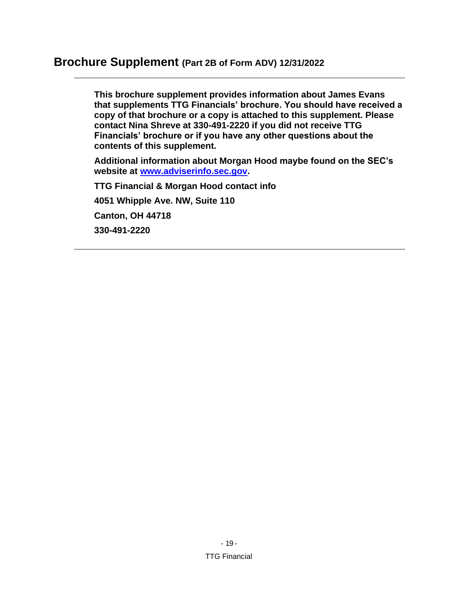# <span id="page-23-0"></span>**Brochure Supplement (Part 2B of Form ADV) 12/31/2022**

**This brochure supplement provides information about James Evans that supplements TTG Financials' brochure. You should have received a copy of that brochure or a copy is attached to this supplement. Please contact Nina Shreve at 330-491-2220 if you did not receive TTG Financials' brochure or if you have any other questions about the contents of this supplement.**

**Additional information about Morgan Hood maybe found on the SEC's website at [www.adviserinfo.sec.gov.](http://www.adviserinfo.sec.gov/)**

**TTG Financial & Morgan Hood contact info 4051 Whipple Ave. NW, Suite 110 Canton, OH 44718 330-491-2220**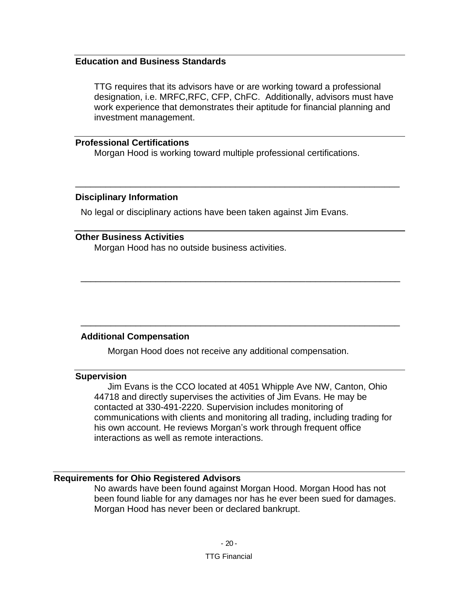### <span id="page-24-0"></span>**Education and Business Standards**

TTG requires that its advisors have or are working toward a professional designation, i.e. MRFC,RFC, CFP, ChFC. Additionally, advisors must have work experience that demonstrates their aptitude for financial planning and investment management.

#### <span id="page-24-1"></span>**Professional Certifications**

Morgan Hood is working toward multiple professional certifications.

\_\_\_\_\_\_\_\_\_\_\_\_\_\_\_\_\_\_\_\_\_\_\_\_\_\_\_\_\_\_\_\_\_\_\_\_\_\_\_\_\_\_\_\_\_\_\_\_\_\_\_\_\_\_\_\_\_\_\_\_\_\_\_\_\_

\_\_\_\_\_\_\_\_\_\_\_\_\_\_\_\_\_\_\_\_\_\_\_\_\_\_\_\_\_\_\_\_\_\_\_\_\_\_\_\_\_\_\_\_\_\_\_\_\_\_\_\_\_\_\_\_\_\_\_\_\_\_\_\_

\_\_\_\_\_\_\_\_\_\_\_\_\_\_\_\_\_\_\_\_\_\_\_\_\_\_\_\_\_\_\_\_\_\_\_\_\_\_\_\_\_\_\_\_\_\_\_\_\_\_\_\_\_\_\_\_\_\_\_\_\_\_\_\_

#### **Disciplinary Information**

No legal or disciplinary actions have been taken against Jim Evans.

#### <span id="page-24-2"></span>**Other Business Activities**

Morgan Hood has no outside business activities.

#### **Additional Compensation**

Morgan Hood does not receive any additional compensation.

#### <span id="page-24-3"></span>**Supervision**

Jim Evans is the CCO located at 4051 Whipple Ave NW, Canton, Ohio 44718 and directly supervises the activities of Jim Evans. He may be contacted at 330-491-2220. Supervision includes monitoring of communications with clients and monitoring all trading, including trading for his own account. He reviews Morgan's work through frequent office interactions as well as remote interactions.

#### <span id="page-24-4"></span>**Requirements for Ohio Registered Advisors**

No awards have been found against Morgan Hood. Morgan Hood has not been found liable for any damages nor has he ever been sued for damages. Morgan Hood has never been or declared bankrupt.